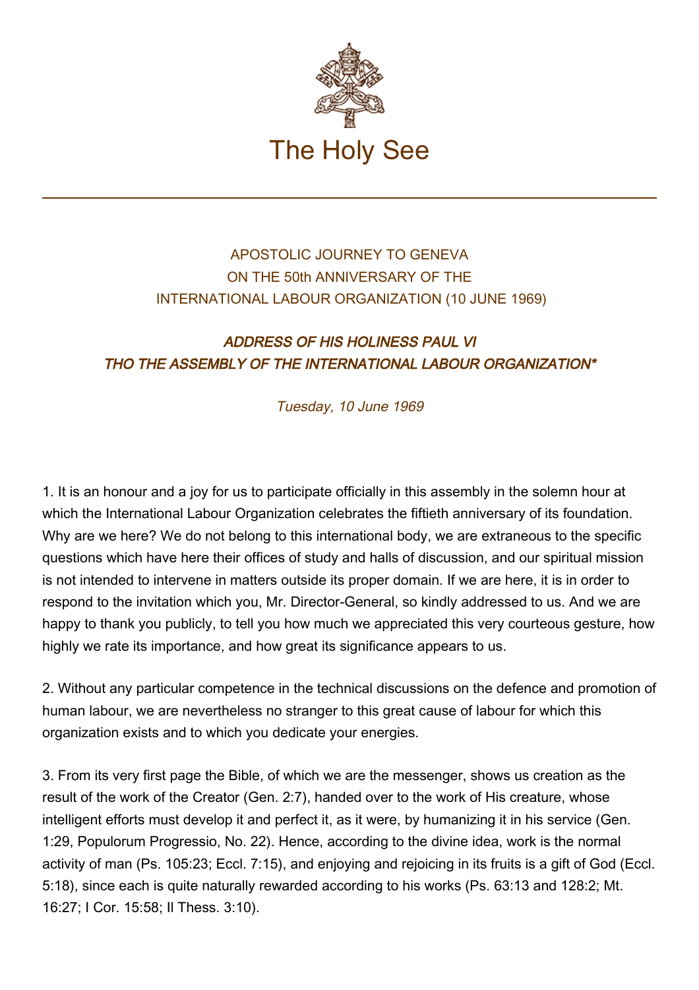

## APOSTOLIC JOURNEY TO GENEVA ON THE 50th ANNIVERSARY OF THE INTERNATIONAL LABOUR ORGANIZATION (10 JUNE 1969)

## ADDRESS OF HIS HOLINESS PAUL VI THO THE ASSEMBLY OF THE INTERNATIONAL LABOUR ORGANIZATION\*

Tuesday, 10 June 1969

1. It is an honour and a joy for us to participate officially in this assembly in the solemn hour at which the International Labour Organization celebrates the fiftieth anniversary of its foundation. Why are we here? We do not belong to this international body, we are extraneous to the specific questions which have here their offices of study and halls of discussion, and our spiritual mission is not intended to intervene in matters outside its proper domain. If we are here, it is in order to respond to the invitation which you, Mr. Director-General, so kindly addressed to us. And we are happy to thank you publicly, to tell you how much we appreciated this very courteous gesture, how highly we rate its importance, and how great its significance appears to us.

2. Without any particular competence in the technical discussions on the defence and promotion of human labour, we are nevertheless no stranger to this great cause of labour for which this organization exists and to which you dedicate your energies.

3. From its very first page the Bible, of which we are the messenger, shows us creation as the result of the work of the Creator (Gen. 2:7), handed over to the work of His creature, whose intelligent efforts must develop it and perfect it, as it were, by humanizing it in his service (Gen. 1:29, Populorum Progressio, No. 22). Hence, according to the divine idea, work is the normal activity of man (Ps. 105:23; Eccl. 7:15), and enjoying and rejoicing in its fruits is a gift of God (Eccl. 5:18), since each is quite naturally rewarded according to his works (Ps. 63:13 and 128:2; Mt. 16:27; I Cor. 15:58; Il Thess. 3:10).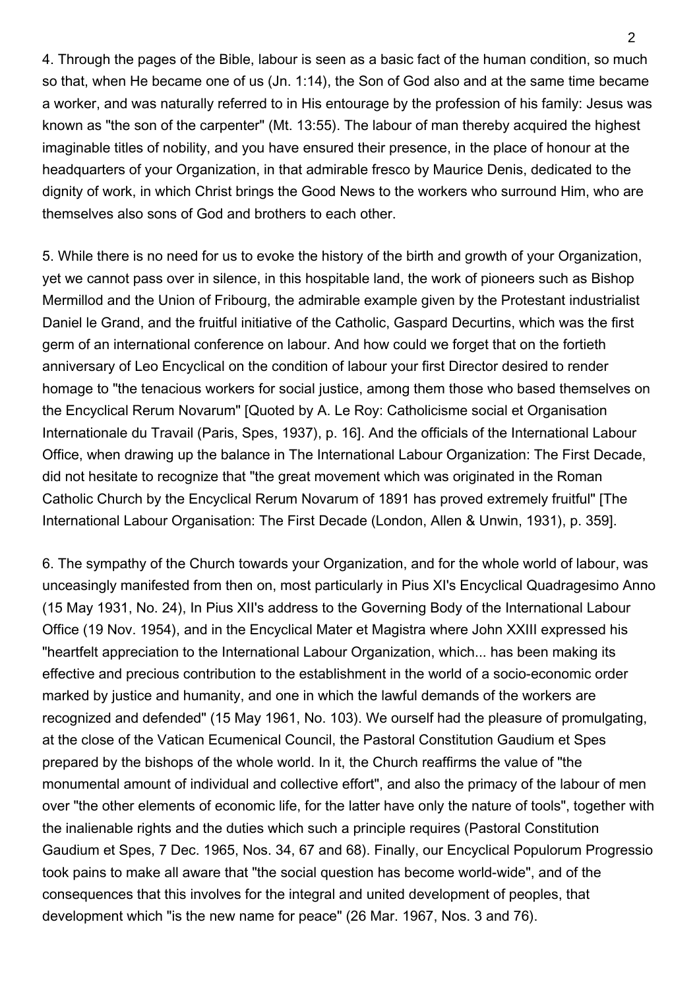4. Through the pages of the Bible, labour is seen as a basic fact of the human condition, so much so that, when He became one of us (Jn. 1:14), the Son of God also and at the same time became a worker, and was naturally referred to in His entourage by the profession of his family: Jesus was known as "the son of the carpenter" (Mt. 13:55). The labour of man thereby acquired the highest imaginable titles of nobility, and you have ensured their presence, in the place of honour at the headquarters of your Organization, in that admirable fresco by Maurice Denis, dedicated to the dignity of work, in which Christ brings the Good News to the workers who surround Him, who are themselves also sons of God and brothers to each other.

5. While there is no need for us to evoke the history of the birth and growth of your Organization, yet we cannot pass over in silence, in this hospitable land, the work of pioneers such as Bishop Mermillod and the Union of Fribourg, the admirable example given by the Protestant industrialist Daniel le Grand, and the fruitful initiative of the Catholic, Gaspard Decurtins, which was the first germ of an international conference on labour. And how could we forget that on the fortieth anniversary of Leo Encyclical on the condition of labour your first Director desired to render homage to "the tenacious workers for social justice, among them those who based themselves on the Encyclical Rerum Novarum" [Quoted by A. Le Roy: Catholicisme social et Organisation Internationale du Travail (Paris, Spes, 1937), p. 16]. And the officials of the International Labour Office, when drawing up the balance in The International Labour Organization: The First Decade, did not hesitate to recognize that "the great movement which was originated in the Roman Catholic Church by the Encyclical Rerum Novarum of 1891 has proved extremely fruitful" [The International Labour Organisation: The First Decade (London, Allen & Unwin, 1931), p. 359].

6. The sympathy of the Church towards your Organization, and for the whole world of labour, was unceasingly manifested from then on, most particularly in Pius XI's Encyclical Quadragesimo Anno (15 May 1931, No. 24), In Pius XII's address to the Governing Body of the International Labour Office (19 Nov. 1954), and in the Encyclical Mater et Magistra where John XXIII expressed his "heartfelt appreciation to the International Labour Organization, which... has been making its effective and precious contribution to the establishment in the world of a socio-economic order marked by justice and humanity, and one in which the lawful demands of the workers are recognized and defended" (15 May 1961, No. 103). We ourself had the pleasure of promulgating, at the close of the Vatican Ecumenical Council, the Pastoral Constitution Gaudium et Spes prepared by the bishops of the whole world. In it, the Church reaffirms the value of "the monumental amount of individual and collective effort", and also the primacy of the labour of men over "the other elements of economic life, for the latter have only the nature of tools", together with the inalienable rights and the duties which such a principle requires (Pastoral Constitution Gaudium et Spes, 7 Dec. 1965, Nos. 34, 67 and 68). Finally, our Encyclical Populorum Progressio took pains to make all aware that "the social question has become world-wide", and of the consequences that this involves for the integral and united development of peoples, that development which "is the new name for peace" (26 Mar. 1967, Nos. 3 and 76).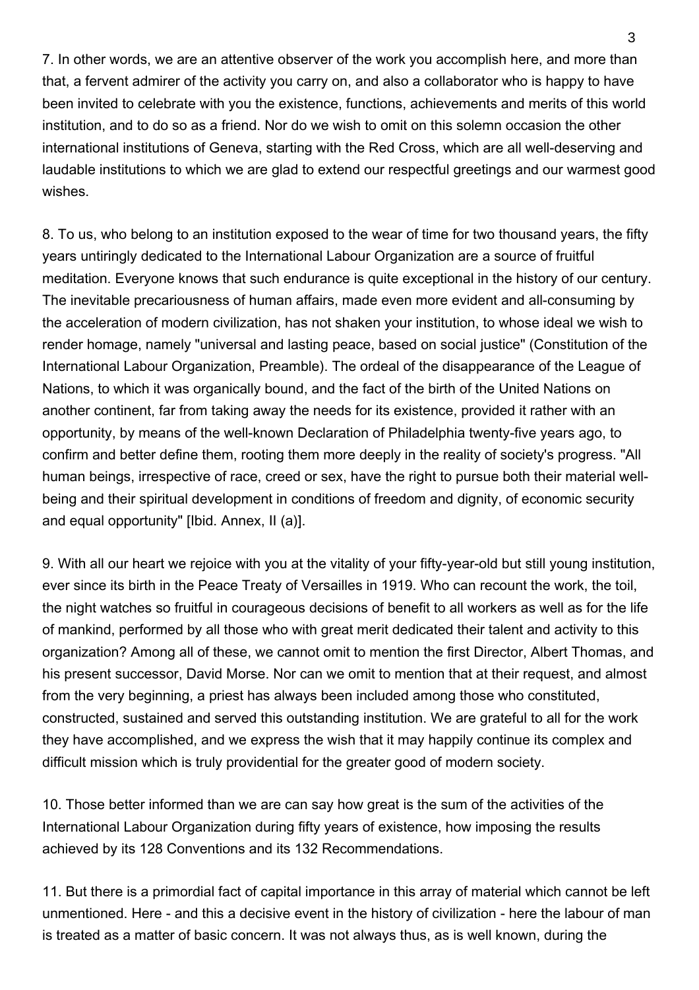7. In other words, we are an attentive observer of the work you accomplish here, and more than that, a fervent admirer of the activity you carry on, and also a collaborator who is happy to have been invited to celebrate with you the existence, functions, achievements and merits of this world institution, and to do so as a friend. Nor do we wish to omit on this solemn occasion the other international institutions of Geneva, starting with the Red Cross, which are all well-deserving and laudable institutions to which we are glad to extend our respectful greetings and our warmest good wishes.

8. To us, who belong to an institution exposed to the wear of time for two thousand years, the fifty years untiringly dedicated to the International Labour Organization are a source of fruitful meditation. Everyone knows that such endurance is quite exceptional in the history of our century. The inevitable precariousness of human affairs, made even more evident and all-consuming by the acceleration of modern civilization, has not shaken your institution, to whose ideal we wish to render homage, namely "universal and lasting peace, based on social justice" (Constitution of the International Labour Organization, Preamble). The ordeal of the disappearance of the League of Nations, to which it was organically bound, and the fact of the birth of the United Nations on another continent, far from taking away the needs for its existence, provided it rather with an opportunity, by means of the well-known Declaration of Philadelphia twenty-five years ago, to confirm and better define them, rooting them more deeply in the reality of society's progress. "All human beings, irrespective of race, creed or sex, have the right to pursue both their material wellbeing and their spiritual development in conditions of freedom and dignity, of economic security and equal opportunity" [Ibid. Annex, II (a)].

9. With all our heart we rejoice with you at the vitality of your fifty-year-old but still young institution, ever since its birth in the Peace Treaty of Versailles in 1919. Who can recount the work, the toil, the night watches so fruitful in courageous decisions of benefit to all workers as well as for the life of mankind, performed by all those who with great merit dedicated their talent and activity to this organization? Among all of these, we cannot omit to mention the first Director, Albert Thomas, and his present successor, David Morse. Nor can we omit to mention that at their request, and almost from the very beginning, a priest has always been included among those who constituted, constructed, sustained and served this outstanding institution. We are grateful to all for the work they have accomplished, and we express the wish that it may happily continue its complex and difficult mission which is truly providential for the greater good of modern society.

10. Those better informed than we are can say how great is the sum of the activities of the International Labour Organization during fifty years of existence, how imposing the results achieved by its 128 Conventions and its 132 Recommendations.

11. But there is a primordial fact of capital importance in this array of material which cannot be left unmentioned. Here - and this a decisive event in the history of civilization - here the labour of man is treated as a matter of basic concern. It was not always thus, as is well known, during the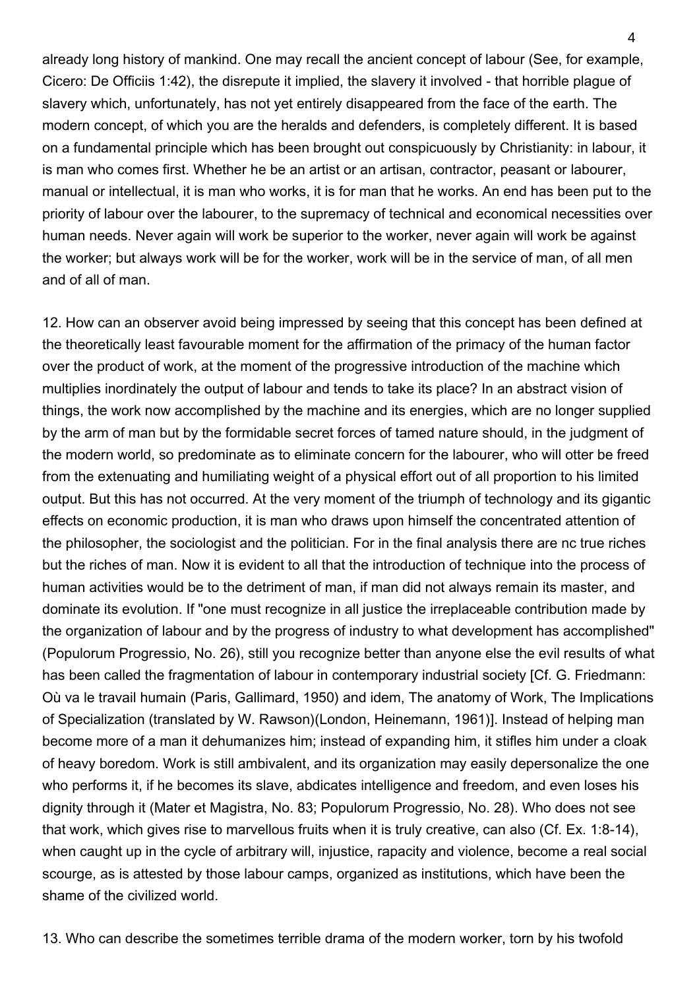already long history of mankind. One may recall the ancient concept of labour (See, for example, Cicero: De Officiis 1:42), the disrepute it implied, the slavery it involved - that horrible plague of slavery which, unfortunately, has not yet entirely disappeared from the face of the earth. The modern concept, of which you are the heralds and defenders, is completely different. It is based on a fundamental principle which has been brought out conspicuously by Christianity: in labour, it is man who comes first. Whether he be an artist or an artisan, contractor, peasant or labourer, manual or intellectual, it is man who works, it is for man that he works. An end has been put to the priority of labour over the labourer, to the supremacy of technical and economical necessities over human needs. Never again will work be superior to the worker, never again will work be against the worker; but always work will be for the worker, work will be in the service of man, of all men and of all of man.

12. How can an observer avoid being impressed by seeing that this concept has been defined at the theoretically least favourable moment for the affirmation of the primacy of the human factor over the product of work, at the moment of the progressive introduction of the machine which multiplies inordinately the output of labour and tends to take its place? In an abstract vision of things, the work now accomplished by the machine and its energies, which are no longer supplied by the arm of man but by the formidable secret forces of tamed nature should, in the judgment of the modern world, so predominate as to eliminate concern for the labourer, who will otter be freed from the extenuating and humiliating weight of a physical effort out of all proportion to his limited output. But this has not occurred. At the very moment of the triumph of technology and its gigantic effects on economic production, it is man who draws upon himself the concentrated attention of the philosopher, the sociologist and the politician. For in the final analysis there are nc true riches but the riches of man. Now it is evident to all that the introduction of technique into the process of human activities would be to the detriment of man, if man did not always remain its master, and dominate its evolution. If "one must recognize in all justice the irreplaceable contribution made by the organization of labour and by the progress of industry to what development has accomplished" (Populorum Progressio, No. 26), still you recognize better than anyone else the evil results of what has been called the fragmentation of labour in contemporary industrial society [Cf. G. Friedmann: Où va le travail humain (Paris, Gallimard, 1950) and idem, The anatomy of Work, The Implications of Specialization (translated by W. Rawson)(London, Heinemann, 1961)]. Instead of helping man become more of a man it dehumanizes him; instead of expanding him, it stifles him under a cloak of heavy boredom. Work is still ambivalent, and its organization may easily depersonalize the one who performs it, if he becomes its slave, abdicates intelligence and freedom, and even loses his dignity through it (Mater et Magistra, No. 83; Populorum Progressio, No. 28). Who does not see that work, which gives rise to marvellous fruits when it is truly creative, can also (Cf. Ex. 1:8-14), when caught up in the cycle of arbitrary will, injustice, rapacity and violence, become a real social scourge, as is attested by those labour camps, organized as institutions, which have been the shame of the civilized world.

13. Who can describe the sometimes terrible drama of the modern worker, torn by his twofold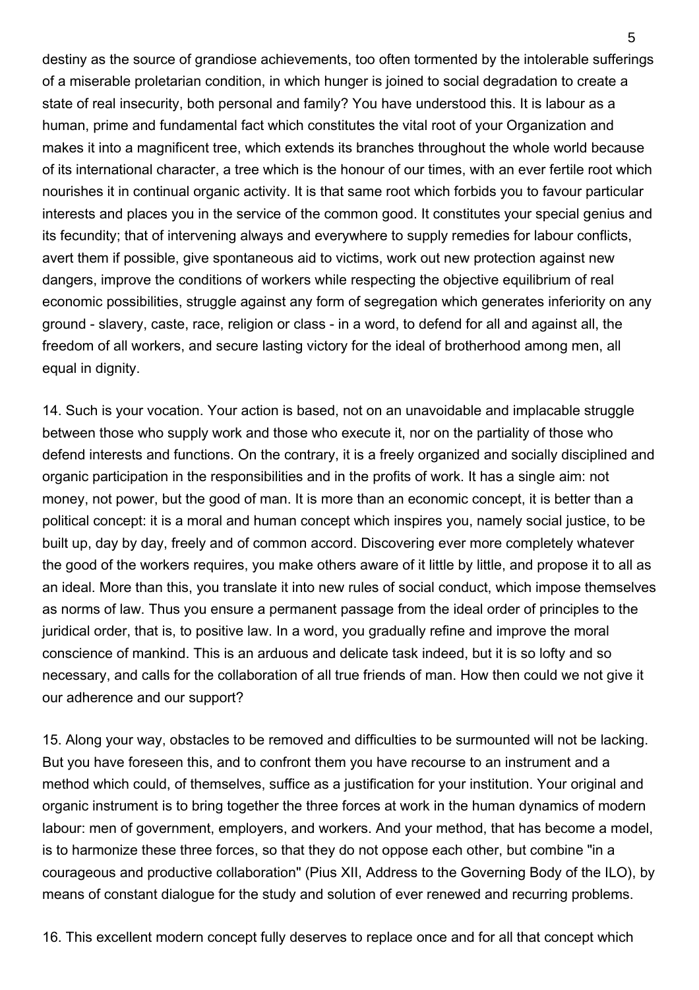destiny as the source of grandiose achievements, too often tormented by the intolerable sufferings of a miserable proletarian condition, in which hunger is joined to social degradation to create a state of real insecurity, both personal and family? You have understood this. It is labour as a human, prime and fundamental fact which constitutes the vital root of your Organization and makes it into a magnificent tree, which extends its branches throughout the whole world because of its international character, a tree which is the honour of our times, with an ever fertile root which nourishes it in continual organic activity. It is that same root which forbids you to favour particular interests and places you in the service of the common good. It constitutes your special genius and its fecundity; that of intervening always and everywhere to supply remedies for labour conflicts, avert them if possible, give spontaneous aid to victims, work out new protection against new dangers, improve the conditions of workers while respecting the objective equilibrium of real economic possibilities, struggle against any form of segregation which generates inferiority on any ground - slavery, caste, race, religion or class - in a word, to defend for all and against all, the freedom of all workers, and secure lasting victory for the ideal of brotherhood among men, all equal in dignity.

14. Such is your vocation. Your action is based, not on an unavoidable and implacable struggle between those who supply work and those who execute it, nor on the partiality of those who defend interests and functions. On the contrary, it is a freely organized and socially disciplined and organic participation in the responsibilities and in the profits of work. It has a single aim: not money, not power, but the good of man. It is more than an economic concept, it is better than a political concept: it is a moral and human concept which inspires you, namely social justice, to be built up, day by day, freely and of common accord. Discovering ever more completely whatever the good of the workers requires, you make others aware of it little by little, and propose it to all as an ideal. More than this, you translate it into new rules of social conduct, which impose themselves as norms of law. Thus you ensure a permanent passage from the ideal order of principles to the juridical order, that is, to positive law. In a word, you gradually refine and improve the moral conscience of mankind. This is an arduous and delicate task indeed, but it is so lofty and so necessary, and calls for the collaboration of all true friends of man. How then could we not give it our adherence and our support?

15. Along your way, obstacles to be removed and difficulties to be surmounted will not be lacking. But you have foreseen this, and to confront them you have recourse to an instrument and a method which could, of themselves, suffice as a justification for your institution. Your original and organic instrument is to bring together the three forces at work in the human dynamics of modern labour: men of government, employers, and workers. And your method, that has become a model, is to harmonize these three forces, so that they do not oppose each other, but combine "in a courageous and productive collaboration" (Pius XII, Address to the Governing Body of the ILO), by means of constant dialogue for the study and solution of ever renewed and recurring problems.

16. This excellent modern concept fully deserves to replace once and for all that concept which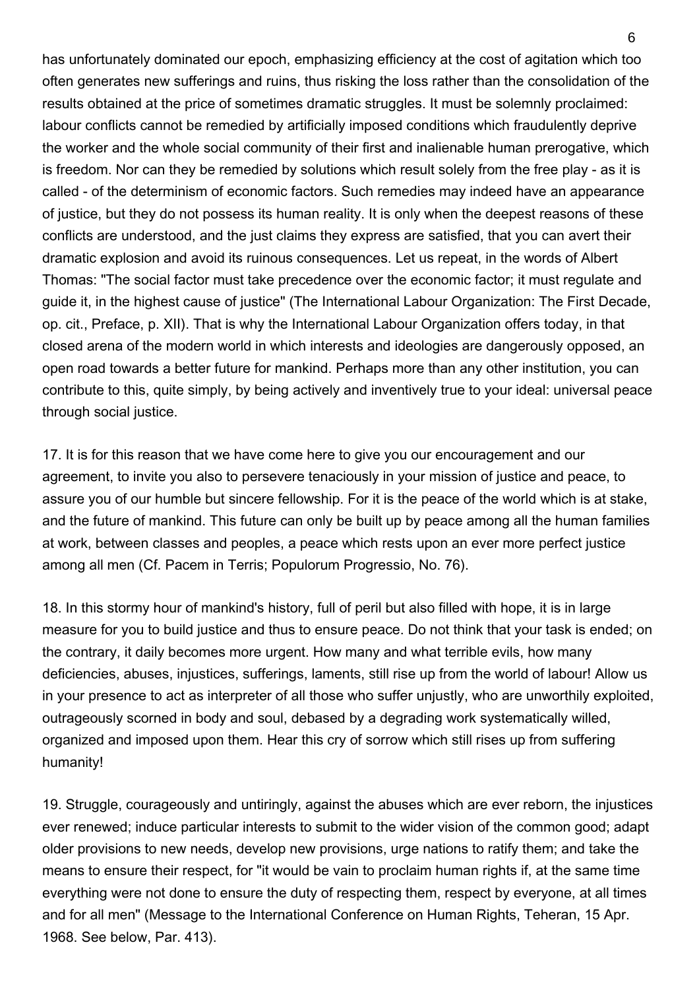has unfortunately dominated our epoch, emphasizing efficiency at the cost of agitation which too often generates new sufferings and ruins, thus risking the loss rather than the consolidation of the results obtained at the price of sometimes dramatic struggles. It must be solemnly proclaimed: labour conflicts cannot be remedied by artificially imposed conditions which fraudulently deprive the worker and the whole social community of their first and inalienable human prerogative, which is freedom. Nor can they be remedied by solutions which result solely from the free play - as it is called - of the determinism of economic factors. Such remedies may indeed have an appearance of justice, but they do not possess its human reality. It is only when the deepest reasons of these conflicts are understood, and the just claims they express are satisfied, that you can avert their dramatic explosion and avoid its ruinous consequences. Let us repeat, in the words of Albert Thomas: "The social factor must take precedence over the economic factor; it must regulate and guide it, in the highest cause of justice" (The International Labour Organization: The First Decade, op. cit., Preface, p. XII). That is why the International Labour Organization offers today, in that closed arena of the modern world in which interests and ideologies are dangerously opposed, an open road towards a better future for mankind. Perhaps more than any other institution, you can contribute to this, quite simply, by being actively and inventively true to your ideal: universal peace through social justice.

17. It is for this reason that we have come here to give you our encouragement and our agreement, to invite you also to persevere tenaciously in your mission of justice and peace, to assure you of our humble but sincere fellowship. For it is the peace of the world which is at stake, and the future of mankind. This future can only be built up by peace among all the human families at work, between classes and peoples, a peace which rests upon an ever more perfect justice among all men (Cf. Pacem in Terris; Populorum Progressio, No. 76).

18. In this stormy hour of mankind's history, full of peril but also filled with hope, it is in large measure for you to build justice and thus to ensure peace. Do not think that your task is ended; on the contrary, it daily becomes more urgent. How many and what terrible evils, how many deficiencies, abuses, injustices, sufferings, laments, still rise up from the world of labour! Allow us in your presence to act as interpreter of all those who suffer unjustly, who are unworthily exploited, outrageously scorned in body and soul, debased by a degrading work systematically willed, organized and imposed upon them. Hear this cry of sorrow which still rises up from suffering humanity!

19. Struggle, courageously and untiringly, against the abuses which are ever reborn, the injustices ever renewed; induce particular interests to submit to the wider vision of the common good; adapt older provisions to new needs, develop new provisions, urge nations to ratify them; and take the means to ensure their respect, for "it would be vain to proclaim human rights if, at the same time everything were not done to ensure the duty of respecting them, respect by everyone, at all times and for all men" (Message to the International Conference on Human Rights, Teheran, 15 Apr. 1968. See below, Par. 413).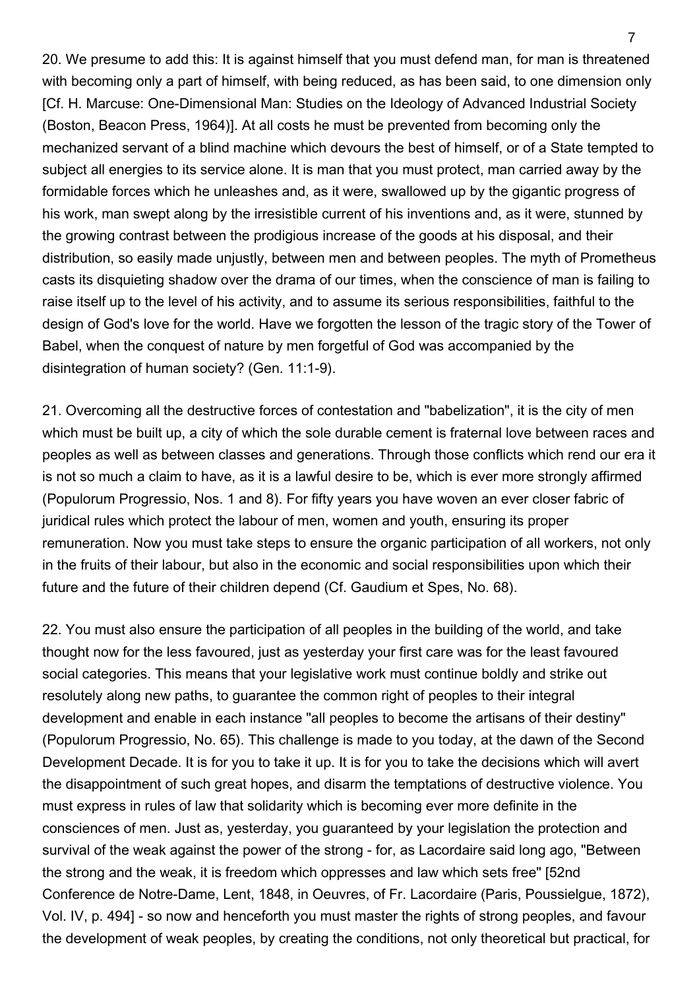20. We presume to add this: It is against himself that you must defend man, for man is threatened with becoming only a part of himself, with being reduced, as has been said, to one dimension only [Cf. H. Marcuse: One-Dimensional Man: Studies on the Ideology of Advanced Industrial Society (Boston, Beacon Press, 1964)]. At all costs he must be prevented from becoming only the mechanized servant of a blind machine which devours the best of himself, or of a State tempted to subject all energies to its service alone. It is man that you must protect, man carried away by the formidable forces which he unleashes and, as it were, swallowed up by the gigantic progress of his work, man swept along by the irresistible current of his inventions and, as it were, stunned by the growing contrast between the prodigious increase of the goods at his disposal, and their distribution, so easily made unjustly, between men and between peoples. The myth of Prometheus casts its disquieting shadow over the drama of our times, when the conscience of man is failing to raise itself up to the level of his activity, and to assume its serious responsibilities, faithful to the design of God's love for the world. Have we forgotten the lesson of the tragic story of the Tower of Babel, when the conquest of nature by men forgetful of God was accompanied by the disintegration of human society? (Gen. 11:1-9).

21. Overcoming all the destructive forces of contestation and "babelization", it is the city of men which must be built up, a city of which the sole durable cement is fraternal love between races and peoples as well as between classes and generations. Through those conflicts which rend our era it is not so much a claim to have, as it is a lawful desire to be, which is ever more strongly affirmed (Populorum Progressio, Nos. 1 and 8). For fifty years you have woven an ever closer fabric of juridical rules which protect the labour of men, women and youth, ensuring its proper remuneration. Now you must take steps to ensure the organic participation of all workers, not only in the fruits of their labour, but also in the economic and social responsibilities upon which their future and the future of their children depend (Cf. Gaudium et Spes, No. 68).

22. You must also ensure the participation of all peoples in the building of the world, and take thought now for the less favoured, just as yesterday your first care was for the least favoured social categories. This means that your legislative work must continue boldly and strike out resolutely along new paths, to guarantee the common right of peoples to their integral development and enable in each instance "all peoples to become the artisans of their destiny" (Populorum Progressio, No. 65). This challenge is made to you today, at the dawn of the Second Development Decade. It is for you to take it up. It is for you to take the decisions which will avert the disappointment of such great hopes, and disarm the temptations of destructive violence. You must express in rules of law that solidarity which is becoming ever more definite in the consciences of men. Just as, yesterday, you guaranteed by your legislation the protection and survival of the weak against the power of the strong - for, as Lacordaire said long ago, "Between the strong and the weak, it is freedom which oppresses and law which sets free" [52nd Conference de Notre-Dame, Lent, 1848, in Oeuvres, of Fr. Lacordaire (Paris, Poussielgue, 1872), Vol. IV, p. 494] - so now and henceforth you must master the rights of strong peoples, and favour the development of weak peoples, by creating the conditions, not only theoretical but practical, for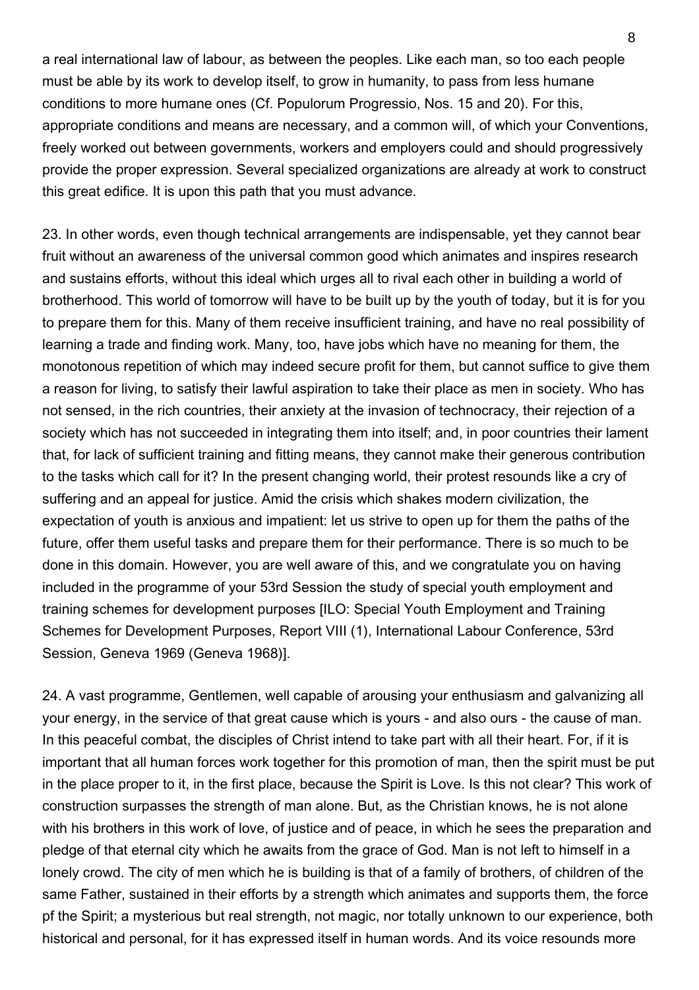a real international law of labour, as between the peoples. Like each man, so too each people must be able by its work to develop itself, to grow in humanity, to pass from less humane conditions to more humane ones (Cf. Populorum Progressio, Nos. 15 and 20). For this, appropriate conditions and means are necessary, and a common will, of which your Conventions, freely worked out between governments, workers and employers could and should progressively provide the proper expression. Several specialized organizations are already at work to construct this great edifice. It is upon this path that you must advance.

23. In other words, even though technical arrangements are indispensable, yet they cannot bear fruit without an awareness of the universal common good which animates and inspires research and sustains efforts, without this ideal which urges all to rival each other in building a world of brotherhood. This world of tomorrow will have to be built up by the youth of today, but it is for you to prepare them for this. Many of them receive insufficient training, and have no real possibility of learning a trade and finding work. Many, too, have jobs which have no meaning for them, the monotonous repetition of which may indeed secure profit for them, but cannot suffice to give them a reason for living, to satisfy their lawful aspiration to take their place as men in society. Who has not sensed, in the rich countries, their anxiety at the invasion of technocracy, their rejection of a society which has not succeeded in integrating them into itself; and, in poor countries their lament that, for lack of sufficient training and fitting means, they cannot make their generous contribution to the tasks which call for it? In the present changing world, their protest resounds like a cry of suffering and an appeal for justice. Amid the crisis which shakes modern civilization, the expectation of youth is anxious and impatient: let us strive to open up for them the paths of the future, offer them useful tasks and prepare them for their performance. There is so much to be done in this domain. However, you are well aware of this, and we congratulate you on having included in the programme of your 53rd Session the study of special youth employment and training schemes for development purposes [ILO: Special Youth Employment and Training Schemes for Development Purposes, Report VIII (1), International Labour Conference, 53rd Session, Geneva 1969 (Geneva 1968)].

24. A vast programme, Gentlemen, well capable of arousing your enthusiasm and galvanizing all your energy, in the service of that great cause which is yours - and also ours - the cause of man. In this peaceful combat, the disciples of Christ intend to take part with all their heart. For, if it is important that all human forces work together for this promotion of man, then the spirit must be put in the place proper to it, in the first place, because the Spirit is Love. Is this not clear? This work of construction surpasses the strength of man alone. But, as the Christian knows, he is not alone with his brothers in this work of love, of justice and of peace, in which he sees the preparation and pledge of that eternal city which he awaits from the grace of God. Man is not left to himself in a lonely crowd. The city of men which he is building is that of a family of brothers, of children of the same Father, sustained in their efforts by a strength which animates and supports them, the force pf the Spirit; a mysterious but real strength, not magic, nor totally unknown to our experience, both historical and personal, for it has expressed itself in human words. And its voice resounds more